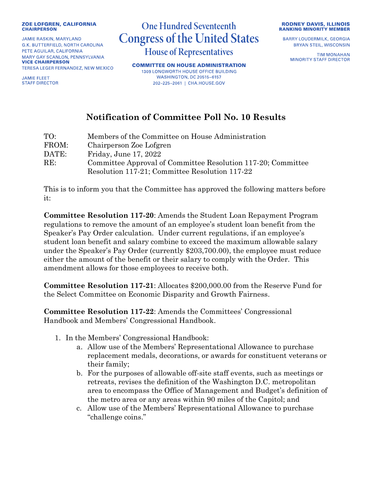## **ZOE LOFGREN, CALIFORNIA CHAIRPERSON**

**JAMIE RASKIN, MARYLAND** G.K. BUTTERFIELD, NORTH CAROLINA PETE AGUILAR, CALIFORNIA MARY GAY SCANLON, PENNSYLVANIA **VICE CHAIRPERSON** TERESA LEGER FERNANDEZ, NEW MEXICO

**JAMIE FLEET STAFF DIRECTOR** 

## **One Hundred Seventeenth Congress of the United States House of Representatives**

**COMMITTEE ON HOUSE ADMINISTRATION** 1309 LONGWORTH HOUSE OFFICE BUILDING **WASHINGTON, DC 20515-6157** 202-225-2061 | CHA.HOUSE.GOV



**BARRY LOUDERMILK, GEORGIA BRYAN STEIL, WISCONSIN** 

> **TIM MONAHAN MINORITY STAFF DIRECTOR**

## **Notification of Committee Poll No. 10 Results**

| TO:   | Members of the Committee on House Administration             |
|-------|--------------------------------------------------------------|
| FROM: | Chairperson Zoe Lofgren                                      |
| DATE: | Friday, June 17, 2022                                        |
| RE:   | Committee Approval of Committee Resolution 117-20; Committee |
|       | Resolution 117-21; Committee Resolution 117-22               |

This is to inform you that the Committee has approved the following matters before it:

**Committee Resolution 117-20**: Amends the Student Loan Repayment Program regulations to remove the amount of an employee's student loan benefit from the Speaker's Pay Order calculation. Under current regulations, if an employee's student loan benefit and salary combine to exceed the maximum allowable salary under the Speaker's Pay Order (currently \$203,700.00), the employee must reduce either the amount of the benefit or their salary to comply with the Order. This amendment allows for those employees to receive both.

**Committee Resolution 117-21**: Allocates \$200,000.00 from the Reserve Fund for the Select Committee on Economic Disparity and Growth Fairness.

**Committee Resolution 117-22**: Amends the Committees' Congressional Handbook and Members' Congressional Handbook.

- 1. In the Members' Congressional Handbook:
	- a. Allow use of the Members' Representational Allowance to purchase replacement medals, decorations, or awards for constituent veterans or their family;
	- b. For the purposes of allowable off-site staff events, such as meetings or retreats, revises the definition of the Washington D.C. metropolitan area to encompass the Office of Management and Budget's definition of the metro area or any areas within 90 miles of the Capitol; and
	- c. Allow use of the Members' Representational Allowance to purchase "challenge coins."